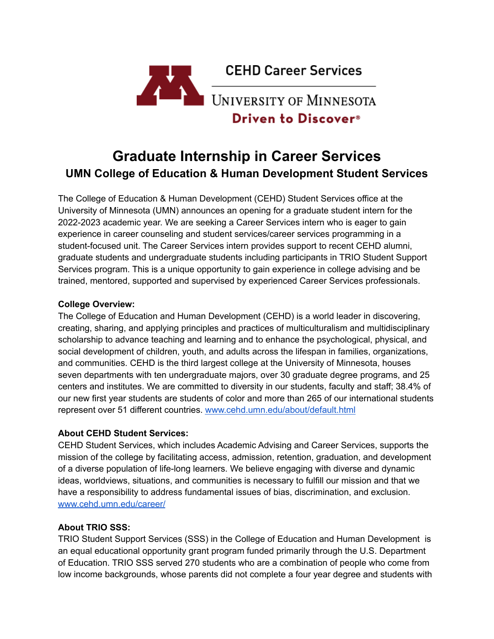

# **Graduate Internship in Career Services UMN College of Education & Human Development Student Services**

The College of Education & Human Development (CEHD) Student Services office at the University of Minnesota (UMN) announces an opening for a graduate student intern for the 2022-2023 academic year. We are seeking a Career Services intern who is eager to gain experience in career counseling and student services/career services programming in a student-focused unit. The Career Services intern provides support to recent CEHD alumni, graduate students and undergraduate students including participants in TRIO Student Support Services program. This is a unique opportunity to gain experience in college advising and be trained, mentored, supported and supervised by experienced Career Services professionals.

#### **College Overview:**

The College of Education and Human Development (CEHD) is a world leader in discovering, creating, sharing, and applying principles and practices of multiculturalism and multidisciplinary scholarship to advance teaching and learning and to enhance the psychological, physical, and social development of children, youth, and adults across the lifespan in families, organizations, and communities. CEHD is the third largest college at the University of Minnesota, houses seven departments with ten undergraduate majors, over 30 graduate degree programs, and 25 centers and institutes. We are committed to diversity in our students, faculty and staff; 38.4% of our new first year students are students of color and more than 265 of our international students represent over 51 different countries. www.cehd.umn.edu/about/default.html

#### **About CEHD Student Services:**

CEHD Student Services, which includes Academic Advising and Career Services, supports the mission of the college by facilitating access, admission, retention, graduation, and development of a diverse population of life-long learners. We believe engaging with diverse and dynamic ideas, worldviews, situations, and communities is necessary to fulfill our mission and that we have a responsibility to address fundamental issues of bias, discrimination, and exclusion. www.cehd.umn.edu/career/

# **About TRIO SSS:**

TRIO Student Support Services (SSS) in the College of Education and Human Development is an equal educational opportunity grant program funded primarily through the U.S. Department of Education. TRIO SSS served 270 students who are a combination of people who come from low income backgrounds, whose parents did not complete a four year degree and students with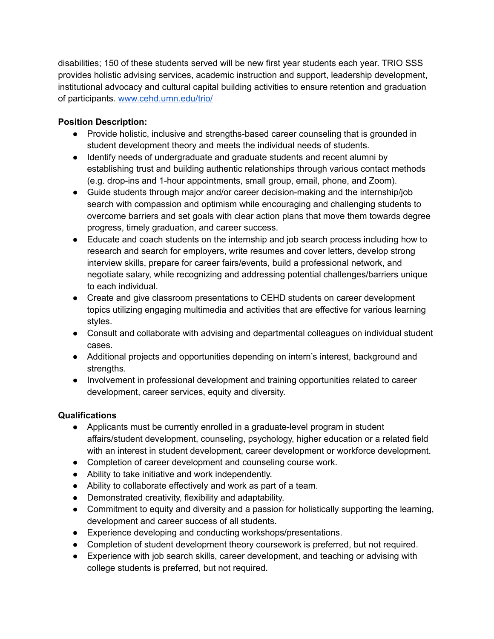disabilities; 150 of these students served will be new first year students each year. TRIO SSS provides holistic advising services, academic instruction and support, leadership development, institutional advocacy and cultural capital building activities to ensure retention and graduation of participants. www.cehd.umn.edu/trio/

### **Position Description:**

- Provide holistic, inclusive and strengths-based career counseling that is grounded in student development theory and meets the individual needs of students.
- Identify needs of undergraduate and graduate students and recent alumni by establishing trust and building authentic relationships through various contact methods (e.g. drop-ins and 1-hour appointments, small group, email, phone, and Zoom).
- Guide students through major and/or career decision-making and the internship/job search with compassion and optimism while encouraging and challenging students to overcome barriers and set goals with clear action plans that move them towards degree progress, timely graduation, and career success.
- Educate and coach students on the internship and job search process including how to research and search for employers, write resumes and cover letters, develop strong interview skills, prepare for career fairs/events, build a professional network, and negotiate salary, while recognizing and addressing potential challenges/barriers unique to each individual.
- Create and give classroom presentations to CEHD students on career development topics utilizing engaging multimedia and activities that are effective for various learning styles.
- Consult and collaborate with advising and departmental colleagues on individual student cases.
- Additional projects and opportunities depending on intern's interest, background and strengths.
- Involvement in professional development and training opportunities related to career development, career services, equity and diversity.

#### **Qualifications**

- Applicants must be currently enrolled in a graduate-level program in student affairs/student development, counseling, psychology, higher education or a related field with an interest in student development, career development or workforce development.
- Completion of career development and counseling course work.
- Ability to take initiative and work independently.
- Ability to collaborate effectively and work as part of a team.
- Demonstrated creativity, flexibility and adaptability.
- Commitment to equity and diversity and a passion for holistically supporting the learning, development and career success of all students.
- Experience developing and conducting workshops/presentations.
- Completion of student development theory coursework is preferred, but not required.
- Experience with job search skills, career development, and teaching or advising with college students is preferred, but not required.